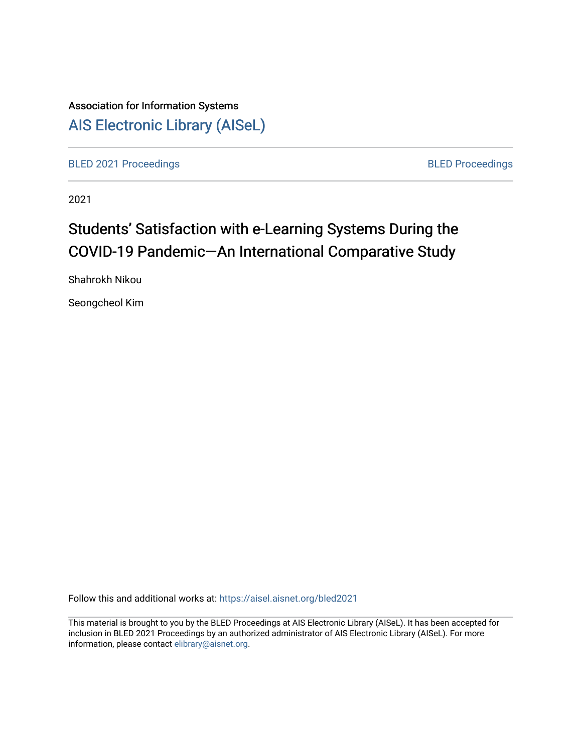# Association for Information Systems [AIS Electronic Library \(AISeL\)](https://aisel.aisnet.org/)

[BLED 2021 Proceedings](https://aisel.aisnet.org/bled2021) **BLED Proceedings** 

2021

# Students' Satisfaction with e-Learning Systems During the COVID-19 Pandemic—An International Comparative Study

Shahrokh Nikou

Seongcheol Kim

Follow this and additional works at: [https://aisel.aisnet.org/bled2021](https://aisel.aisnet.org/bled2021?utm_source=aisel.aisnet.org%2Fbled2021%2F11&utm_medium=PDF&utm_campaign=PDFCoverPages) 

This material is brought to you by the BLED Proceedings at AIS Electronic Library (AISeL). It has been accepted for inclusion in BLED 2021 Proceedings by an authorized administrator of AIS Electronic Library (AISeL). For more information, please contact [elibrary@aisnet.org.](mailto:elibrary@aisnet.org%3E)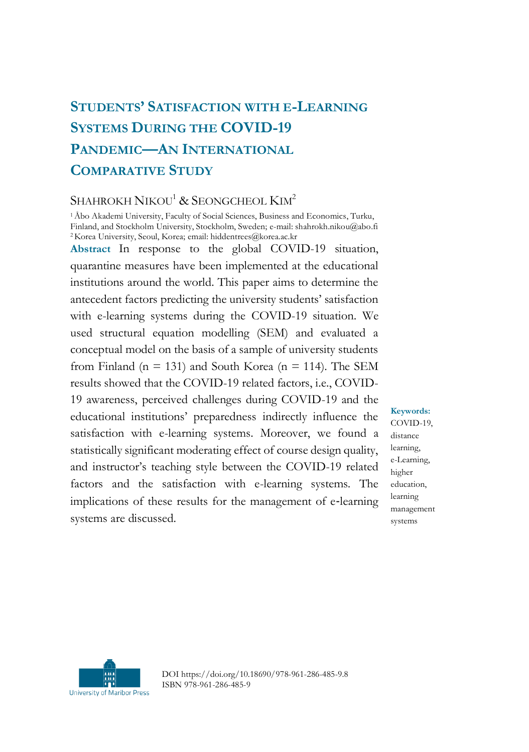## **STUDENTS' SATISFACTION WITH E-LEARNING SYSTEMS DURING THE COVID-19 PANDEMIC—AN INTERNATIONAL COMPARATIVE STUDY**

#### SHAHROKH NIKOU<sup>1</sup> & SEONGCHEOL KIM<sup>2</sup>

<sup>1</sup>Åbo Akademi University, Faculty of Social Sciences, Business and Economics, Turku, Finland, and Stockholm University, Stockholm, Sweden; e-mail: shahrokh.nikou@abo.fi <sup>2</sup>Korea University, Seoul, Korea; email: hiddentrees@korea.ac.kr

**Abstract** In response to the global COVID-19 situation, quarantine measures have been implemented at the educational institutions around the world. This paper aims to determine the antecedent factors predicting the university students' satisfaction with e-learning systems during the COVID-19 situation. We used structural equation modelling (SEM) and evaluated a conceptual model on the basis of a sample of university students from Finland ( $n = 131$ ) and South Korea ( $n = 114$ ). The SEM results showed that the COVID-19 related factors, i.e., COVID-19 awareness, perceived challenges during COVID-19 and the educational institutions' preparedness indirectly influence the satisfaction with e-learning systems. Moreover, we found a statistically significant moderating effect of course design quality, and instructor's teaching style between the COVID-19 related factors and the satisfaction with e-learning systems. The implications of these results for the management of e-learning systems are discussed.

**Keywords:** COVID-19, distance learning, e-Learning, higher education, learning management systems



DOI https://doi.org/10.18690/978-961-286-485-9.8 ISBN 978-961-286-485-9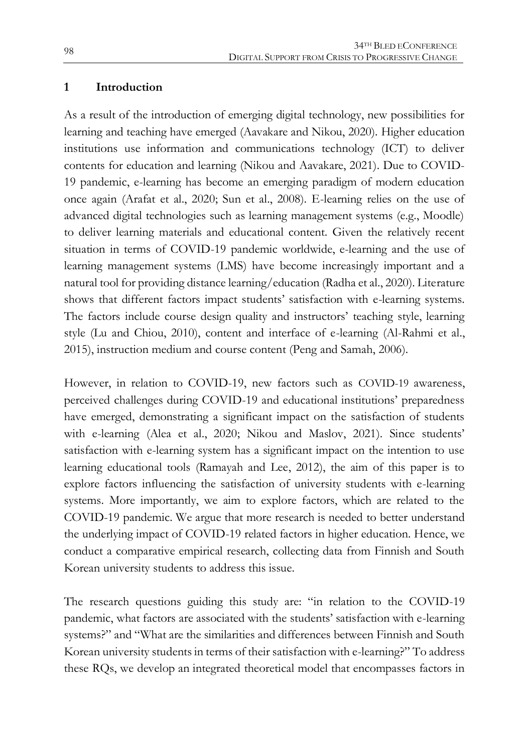#### **1 Introduction**

As a result of the introduction of emerging digital technology, new possibilities for learning and teaching have emerged (Aavakare and Nikou, 2020). Higher education institutions use information and communications technology (ICT) to deliver contents for education and learning (Nikou and Aavakare, 2021). Due to COVID-19 pandemic, e-learning has become an emerging paradigm of modern education once again (Arafat et al., 2020; Sun et al., 2008). E-learning relies on the use of advanced digital technologies such as learning management systems (e.g., Moodle) to deliver learning materials and educational content. Given the relatively recent situation in terms of COVID-19 pandemic worldwide, e-learning and the use of learning management systems (LMS) have become increasingly important and a natural tool for providing distance learning/education (Radha et al., 2020). Literature shows that different factors impact students' satisfaction with e-learning systems. The factors include course design quality and instructors' teaching style, learning style (Lu and Chiou, 2010), content and interface of e-learning (Al-Rahmi et al., 2015), instruction medium and course content (Peng and Samah, 2006).

However, in relation to COVID-19, new factors such as COVID-19 awareness, perceived challenges during COVID-19 and educational institutions' preparedness have emerged, demonstrating a significant impact on the satisfaction of students with e-learning (Alea et al., 2020; Nikou and Maslov, 2021). Since students' satisfaction with e-learning system has a significant impact on the intention to use learning educational tools (Ramayah and Lee, 2012), the aim of this paper is to explore factors influencing the satisfaction of university students with e-learning systems. More importantly, we aim to explore factors, which are related to the COVID-19 pandemic. We argue that more research is needed to better understand the underlying impact of COVID-19 related factors in higher education. Hence, we conduct a comparative empirical research, collecting data from Finnish and South Korean university students to address this issue.

The research questions guiding this study are: "in relation to the COVID-19 pandemic, what factors are associated with the students' satisfaction with e-learning systems?" and "What are the similarities and differences between Finnish and South Korean university students in terms of their satisfaction with e-learning?" To address these RQs, we develop an integrated theoretical model that encompasses factors in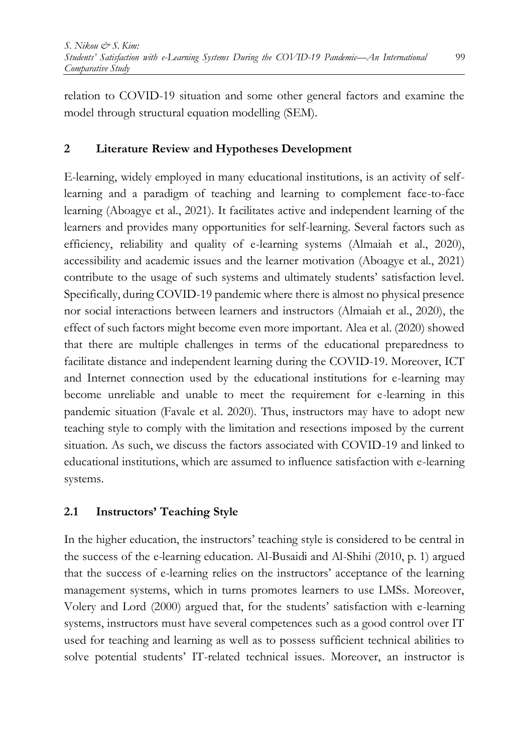relation to COVID-19 situation and some other general factors and examine the model through structural equation modelling (SEM).

#### **2 Literature Review and Hypotheses Development**

E-learning, widely employed in many educational institutions, is an activity of selflearning and a paradigm of teaching and learning to complement face-to-face learning (Aboagye et al., 2021). It facilitates active and independent learning of the learners and provides many opportunities for self-learning. Several factors such as efficiency, reliability and quality of e-learning systems (Almaiah et al., 2020), accessibility and academic issues and the learner motivation (Aboagye et al., 2021) contribute to the usage of such systems and ultimately students' satisfaction level. Specifically, during COVID-19 pandemic where there is almost no physical presence nor social interactions between learners and instructors (Almaiah et al., 2020), the effect of such factors might become even more important. Alea et al. (2020) showed that there are multiple challenges in terms of the educational preparedness to facilitate distance and independent learning during the COVID-19. Moreover, ICT and Internet connection used by the educational institutions for e-learning may become unreliable and unable to meet the requirement for e-learning in this pandemic situation (Favale et al. 2020). Thus, instructors may have to adopt new teaching style to comply with the limitation and resections imposed by the current situation. As such, we discuss the factors associated with COVID-19 and linked to educational institutions, which are assumed to influence satisfaction with e-learning systems.

## **2.1 Instructors' Teaching Style**

In the higher education, the instructors' teaching style is considered to be central in the success of the e-learning education. Al-Busaidi and Al-Shihi (2010, p. 1) argued that the success of e-learning relies on the instructors' acceptance of the learning management systems, which in turns promotes learners to use LMSs. Moreover, Volery and Lord (2000) argued that, for the students' satisfaction with e-learning systems, instructors must have several competences such as a good control over IT used for teaching and learning as well as to possess sufficient technical abilities to solve potential students' IT-related technical issues. Moreover, an instructor is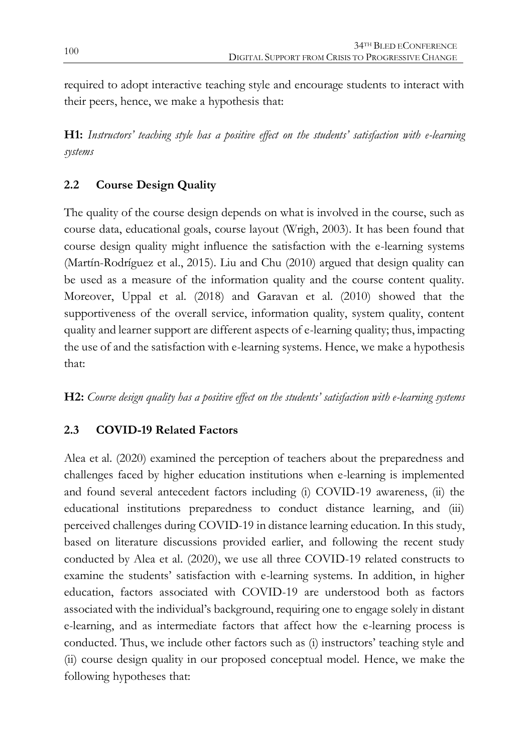required to adopt interactive teaching style and encourage students to interact with their peers, hence, we make a hypothesis that:

**H1:** *Instructors' teaching style has a positive effect on the students' satisfaction with e-learning systems*

## **2.2 Course Design Quality**

The quality of the course design depends on what is involved in the course, such as course data, educational goals, course layout (Wrigh, 2003). It has been found that course design quality might influence the satisfaction with the e-learning systems (Martín-Rodríguez et al., 2015). Liu and Chu (2010) argued that design quality can be used as a measure of the information quality and the course content quality. Moreover, Uppal et al. (2018) and Garavan et al. (2010) showed that the supportiveness of the overall service, information quality, system quality, content quality and learner support are different aspects of e-learning quality; thus, impacting the use of and the satisfaction with e-learning systems. Hence, we make a hypothesis that:

**H2:** *Course design quality has a positive effect on the students' satisfaction with e-learning systems*

## **2.3 COVID-19 Related Factors**

Alea et al. (2020) examined the perception of teachers about the preparedness and challenges faced by higher education institutions when e-learning is implemented and found several antecedent factors including (i) COVID-19 awareness, (ii) the educational institutions preparedness to conduct distance learning, and (iii) perceived challenges during COVID-19 in distance learning education. In this study, based on literature discussions provided earlier, and following the recent study conducted by Alea et al. (2020), we use all three COVID-19 related constructs to examine the students' satisfaction with e-learning systems. In addition, in higher education, factors associated with COVID-19 are understood both as factors associated with the individual's background, requiring one to engage solely in distant e-learning, and as intermediate factors that affect how the e-learning process is conducted. Thus, we include other factors such as (i) instructors' teaching style and (ii) course design quality in our proposed conceptual model. Hence, we make the following hypotheses that: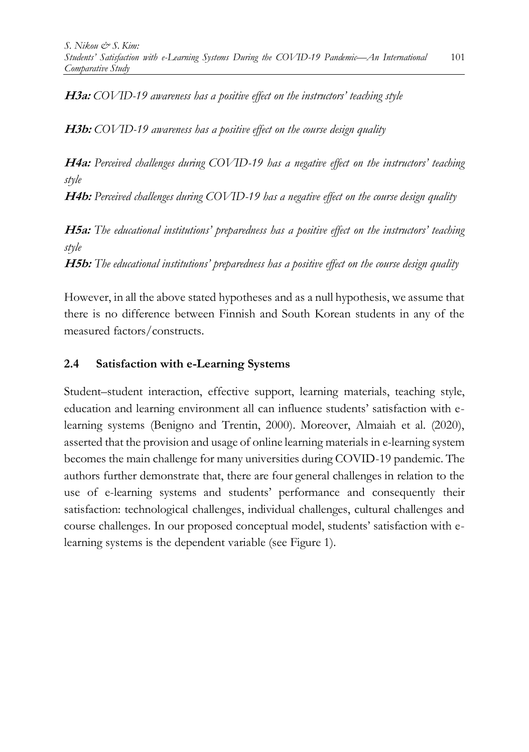**H3a:** *COVID-19 awareness has a positive effect on the instructors' teaching style*

**H3b:** *COVID-19 awareness has a positive effect on the course design quality*

**H4a:** *Perceived challenges during COVID-19 has a negative effect on the instructors' teaching style*

**H4b:** *Perceived challenges during COVID-19 has a negative effect on the course design quality*

**H5a:** *The educational institutions' preparedness has a positive effect on the instructors' teaching style*

**H5b:** *The educational institutions' preparedness has a positive effect on the course design quality*

However, in all the above stated hypotheses and as a null hypothesis, we assume that there is no difference between Finnish and South Korean students in any of the measured factors/constructs.

#### **2.4 Satisfaction with e-Learning Systems**

Student–student interaction, effective support, learning materials, teaching style, education and learning environment all can influence students' satisfaction with elearning systems (Benigno and Trentin, 2000). Moreover, Almaiah et al. (2020), asserted that the provision and usage of online learning materials in e-learning system becomes the main challenge for many universities during COVID-19 pandemic. The authors further demonstrate that, there are four general challenges in relation to the use of e-learning systems and students' performance and consequently their satisfaction: technological challenges, individual challenges, cultural challenges and course challenges. In our proposed conceptual model, students' satisfaction with elearning systems is the dependent variable (see Figure 1).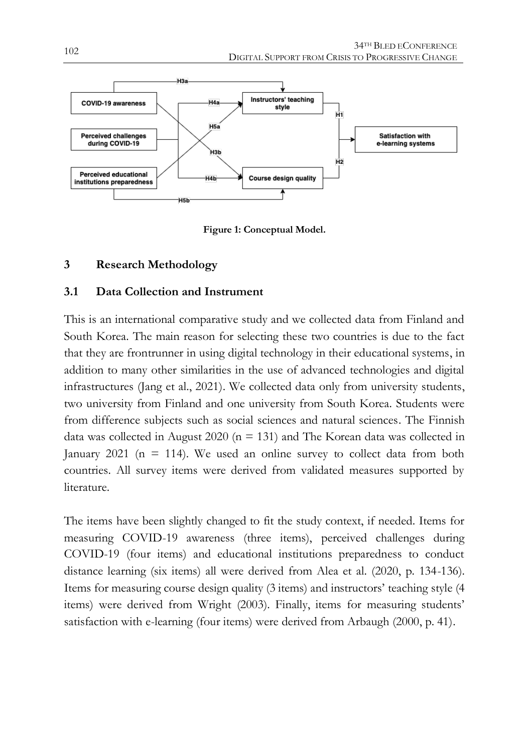

**Figure 1: Conceptual Model.**

#### **3 Research Methodology**

#### **3.1 Data Collection and Instrument**

This is an international comparative study and we collected data from Finland and South Korea. The main reason for selecting these two countries is due to the fact that they are frontrunner in using digital technology in their educational systems, in addition to many other similarities in the use of advanced technologies and digital infrastructures (Jang et al., 2021). We collected data only from university students, two university from Finland and one university from South Korea. Students were from difference subjects such as social sciences and natural sciences. The Finnish data was collected in August 2020 ( $n = 131$ ) and The Korean data was collected in January 2021 ( $n = 114$ ). We used an online survey to collect data from both countries. All survey items were derived from validated measures supported by literature.

The items have been slightly changed to fit the study context, if needed. Items for measuring COVID-19 awareness (three items), perceived challenges during COVID-19 (four items) and educational institutions preparedness to conduct distance learning (six items) all were derived from Alea et al. (2020, p. 134-136). Items for measuring course design quality (3 items) and instructors' teaching style (4 items) were derived from Wright (2003). Finally, items for measuring students' satisfaction with e-learning (four items) were derived from Arbaugh (2000, p. 41).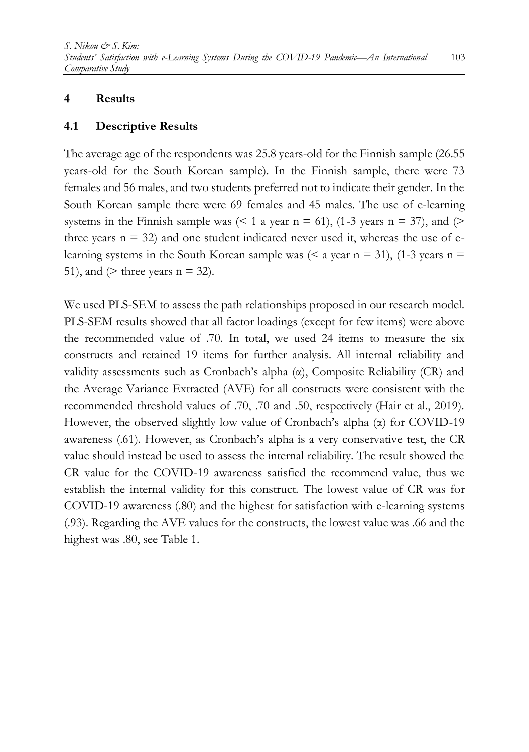#### **4 Results**

#### **4.1 Descriptive Results**

The average age of the respondents was 25.8 years-old for the Finnish sample (26.55 years-old for the South Korean sample). In the Finnish sample, there were 73 females and 56 males, and two students preferred not to indicate their gender. In the South Korean sample there were 69 females and 45 males. The use of e-learning systems in the Finnish sample was  $($  < 1 a year n = 61), (1-3 years n = 37), and  $($ three years  $n = 32$ ) and one student indicated never used it, whereas the use of elearning systems in the South Korean sample was  $( $a$  year  $n = 31$ ), (1-3 years  $n =$$ 51), and  $(>$  three years  $n = 32$ .

We used PLS-SEM to assess the path relationships proposed in our research model. PLS-SEM results showed that all factor loadings (except for few items) were above the recommended value of .70. In total, we used 24 items to measure the six constructs and retained 19 items for further analysis. All internal reliability and validity assessments such as Cronbach's alpha  $(\alpha)$ , Composite Reliability (CR) and the Average Variance Extracted (AVE) for all constructs were consistent with the recommended threshold values of .70, .70 and .50, respectively (Hair et al., 2019). However, the observed slightly low value of Cronbach's alpha (α) for COVID-19 awareness (.61). However, as Cronbach's alpha is a very conservative test, the CR value should instead be used to assess the internal reliability. The result showed the CR value for the COVID-19 awareness satisfied the recommend value, thus we establish the internal validity for this construct. The lowest value of CR was for COVID-19 awareness (.80) and the highest for satisfaction with e-learning systems (.93). Regarding the AVE values for the constructs, the lowest value was .66 and the highest was .80, see Table 1.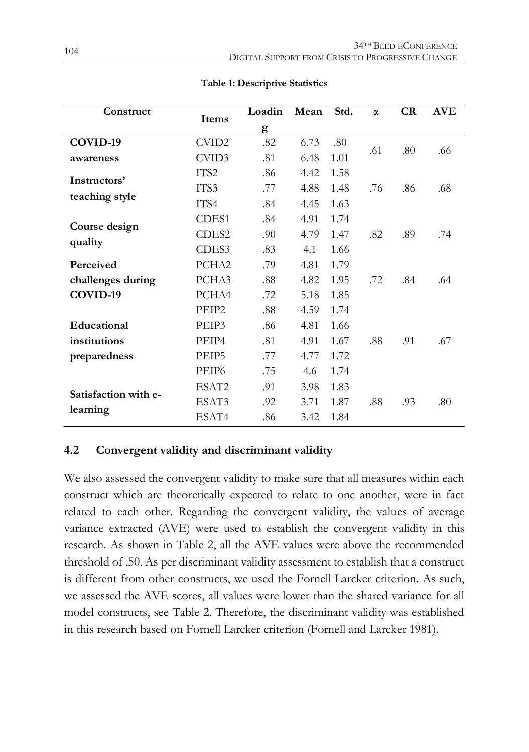| Construct                        | Items             | Loadin | Mean | Std. | $\alpha$ | CR  | <b>AVE</b> |
|----------------------------------|-------------------|--------|------|------|----------|-----|------------|
|                                  |                   | g      |      |      |          |     |            |
| COVID-19                         | CVID2             | .82    | 6.73 | .80  | .61      | .80 | .66        |
| awareness                        | CVID3             | .81    | 6.48 | 1.01 |          |     |            |
| Instructors'                     | ITS2              | .86    | 4.42 | 1.58 |          |     |            |
| teaching style                   | ITS3              | .77    | 4.88 | 1.48 | .76      | .86 | .68        |
|                                  | ITS4              | .84    | 4.45 | 1.63 |          |     |            |
| Course design<br>quality         | CDES1             | .84    | 4.91 | 1.74 |          |     |            |
|                                  | CDES <sub>2</sub> | .90    | 4.79 | 1.47 | .82      | .89 | .74        |
|                                  | CDES <sub>3</sub> | .83    | 4.1  | 1.66 |          |     |            |
| Perceived                        | PCHA2             | .79    | 4.81 | 1.79 |          |     |            |
| challenges during                | PCHA3             | .88    | 4.82 | 1.95 | .72      | .84 | .64        |
| COVID-19                         | PCHA4             | .72    | 5.18 | 1.85 |          |     |            |
|                                  | PEIP2             | .88    | 4.59 | 1.74 |          |     |            |
| Educational                      | PEIP3             | .86    | 4.81 | 1.66 |          |     |            |
| institutions                     | PEIP4             | .81    | 4.91 | 1.67 | .88      | .91 | .67        |
| preparedness                     | PEIP5             | .77    | 4.77 | 1.72 |          |     |            |
|                                  | PEIP <sub>6</sub> | .75    | 4.6  | 1.74 |          |     |            |
| Satisfaction with e-<br>learning | ESAT2             | .91    | 3.98 | 1.83 |          |     |            |
|                                  | ESAT3             | .92    | 3.71 | 1.87 | .88      | .93 | .80        |
|                                  | ESAT4             | .86    | 3.42 | 1.84 |          |     |            |

**Table 1: Descriptive Statistics**

#### **4.2 Convergent validity and discriminant validity**

We also assessed the convergent validity to make sure that all measures within each construct which are theoretically expected to relate to one another, were in fact related to each other. Regarding the convergent validity, the values of average variance extracted (AVE) were used to establish the convergent validity in this research. As shown in Table 2, all the AVE values were above the recommended threshold of .50. As per discriminant validity assessment to establish that a construct is different from other constructs, we used the Fornell Larcker criterion. As such, we assessed the AVE scores, all values were lower than the shared variance for all model constructs, see Table 2. Therefore, the discriminant validity was established in this research based on Fornell Larcker criterion (Fornell and Larcker 1981).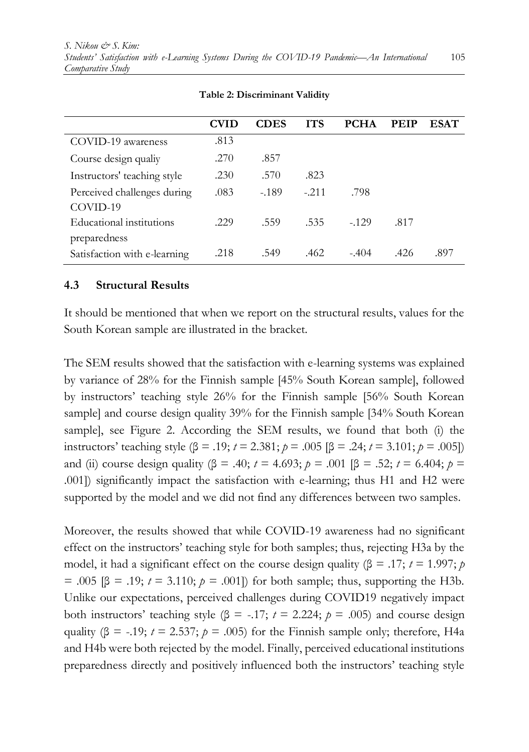|                              | CVID | <b>CDES</b> | <b>ITS</b> | <b>PCHA</b> | <b>PEIP</b> | <b>ESAT</b> |
|------------------------------|------|-------------|------------|-------------|-------------|-------------|
| COVID-19 awareness           | .813 |             |            |             |             |             |
| Course design qualiy         | .270 | .857        |            |             |             |             |
| Instructors' teaching style  | .230 | .570        | .823       |             |             |             |
| Perceived challenges during  | .083 | $-189$      | $-.211$    | .798        |             |             |
| COVID-19                     |      |             |            |             |             |             |
| Educational institutions     | .229 | .559        | .535       | $-129$      | .817        |             |
| preparedness                 |      |             |            |             |             |             |
| Satisfaction with e-learning | .218 | .549        | .462       | $-.404$     | .426        | .897        |

**Table 2: Discriminant Validity**

#### **4.3 Structural Results**

It should be mentioned that when we report on the structural results, values for the South Korean sample are illustrated in the bracket.

The SEM results showed that the satisfaction with e-learning systems was explained by variance of 28% for the Finnish sample [45% South Korean sample], followed by instructors' teaching style 26% for the Finnish sample [56% South Korean sample] and course design quality 39% for the Finnish sample [34% South Korean sample], see Figure 2. According the SEM results, we found that both (i) the instructors' teaching style (β = .19; *t* = 2.381; *p* = .005 [β = .24; *t* = 3.101; *p* = .005]) and (ii) course design quality (β = .40; *t* = 4.693; *p* = .001 [β = .52; *t* = 6.404; *p* = .001]) significantly impact the satisfaction with e-learning; thus H1 and H2 were supported by the model and we did not find any differences between two samples.

Moreover, the results showed that while COVID-19 awareness had no significant effect on the instructors' teaching style for both samples; thus, rejecting H3a by the model, it had a significant effect on the course design quality ( $\beta$  = .17; *t* = 1.997; *p*  $= .005$  [β = .19; *t* = 3.110; *p* = .001]) for both sample; thus, supporting the H3b. Unlike our expectations, perceived challenges during COVID19 negatively impact both instructors' teaching style (β = -.17;  $t = 2.224$ ;  $p = .005$ ) and course design quality ( $\beta$  = -.19; *t* = 2.537; *p* = .005) for the Finnish sample only; therefore, H4a and H4b were both rejected by the model. Finally, perceived educational institutions preparedness directly and positively influenced both the instructors' teaching style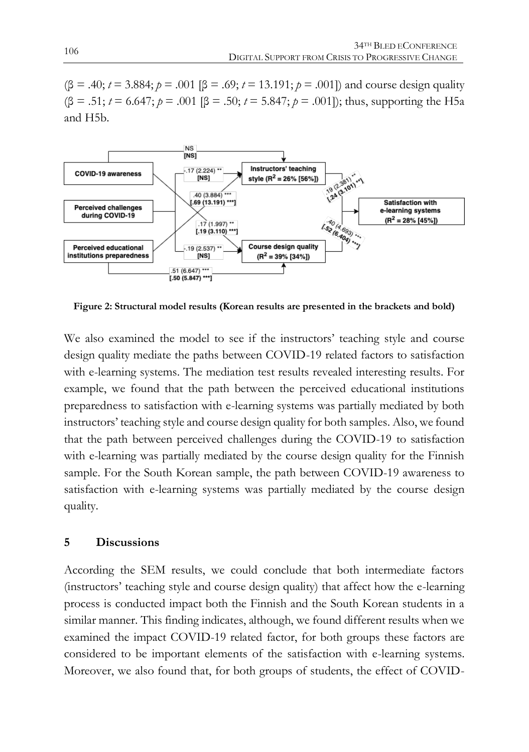$(8 = .40; t = 3.884; p = .001$  [ $\beta = .69; t = 13.191; p = .001$ ]) and course design quality  $(β = .51; t = 6.647; p = .001 [β = .50; t = 5.847; p = .001]$ ; thus, supporting the H5a and H5b.



**Figure 2: Structural model results (Korean results are presented in the brackets and bold)**

We also examined the model to see if the instructors' teaching style and course design quality mediate the paths between COVID-19 related factors to satisfaction with e-learning systems. The mediation test results revealed interesting results. For example, we found that the path between the perceived educational institutions preparedness to satisfaction with e-learning systems was partially mediated by both instructors' teaching style and course design quality for both samples. Also, we found that the path between perceived challenges during the COVID-19 to satisfaction with e-learning was partially mediated by the course design quality for the Finnish sample. For the South Korean sample, the path between COVID-19 awareness to satisfaction with e-learning systems was partially mediated by the course design quality.

#### **5 Discussions**

According the SEM results, we could conclude that both intermediate factors (instructors' teaching style and course design quality) that affect how the e-learning process is conducted impact both the Finnish and the South Korean students in a similar manner. This finding indicates, although, we found different results when we examined the impact COVID-19 related factor, for both groups these factors are considered to be important elements of the satisfaction with e-learning systems. Moreover, we also found that, for both groups of students, the effect of COVID-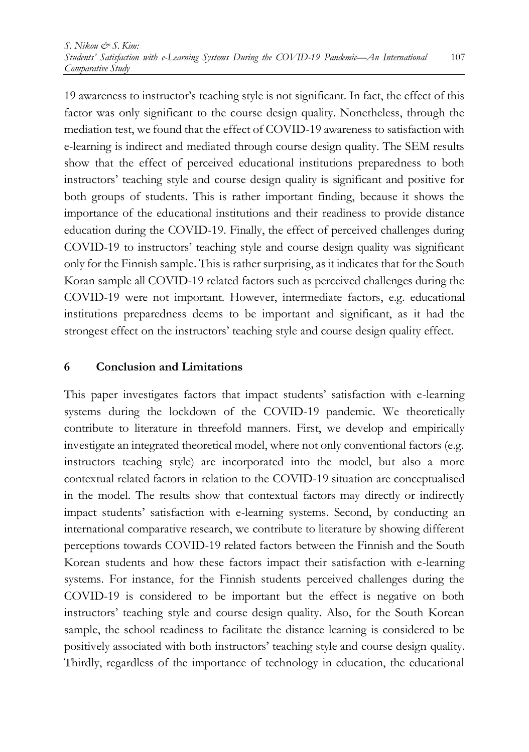19 awareness to instructor's teaching style is not significant. In fact, the effect of this factor was only significant to the course design quality. Nonetheless, through the mediation test, we found that the effect of COVID-19 awareness to satisfaction with e-learning is indirect and mediated through course design quality. The SEM results show that the effect of perceived educational institutions preparedness to both instructors' teaching style and course design quality is significant and positive for both groups of students. This is rather important finding, because it shows the importance of the educational institutions and their readiness to provide distance education during the COVID-19. Finally, the effect of perceived challenges during COVID-19 to instructors' teaching style and course design quality was significant only for the Finnish sample. This is rather surprising, asit indicates that for the South Koran sample all COVID-19 related factors such as perceived challenges during the COVID-19 were not important. However, intermediate factors, e.g. educational institutions preparedness deems to be important and significant, as it had the strongest effect on the instructors' teaching style and course design quality effect.

#### **6 Conclusion and Limitations**

This paper investigates factors that impact students' satisfaction with e-learning systems during the lockdown of the COVID-19 pandemic. We theoretically contribute to literature in threefold manners. First, we develop and empirically investigate an integrated theoretical model, where not only conventional factors (e.g. instructors teaching style) are incorporated into the model, but also a more contextual related factors in relation to the COVID-19 situation are conceptualised in the model. The results show that contextual factors may directly or indirectly impact students' satisfaction with e-learning systems. Second, by conducting an international comparative research, we contribute to literature by showing different perceptions towards COVID-19 related factors between the Finnish and the South Korean students and how these factors impact their satisfaction with e-learning systems. For instance, for the Finnish students perceived challenges during the COVID-19 is considered to be important but the effect is negative on both instructors' teaching style and course design quality. Also, for the South Korean sample, the school readiness to facilitate the distance learning is considered to be positively associated with both instructors' teaching style and course design quality. Thirdly, regardless of the importance of technology in education, the educational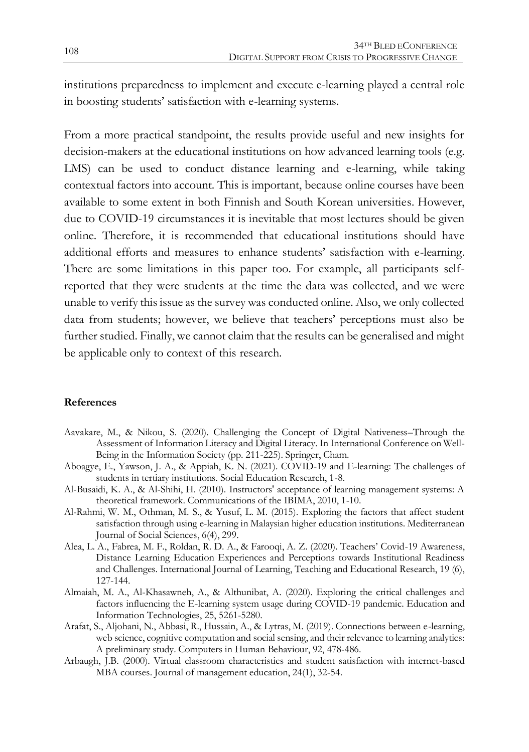institutions preparedness to implement and execute e-learning played a central role in boosting students' satisfaction with e-learning systems.

From a more practical standpoint, the results provide useful and new insights for decision-makers at the educational institutions on how advanced learning tools (e.g. LMS) can be used to conduct distance learning and e-learning, while taking contextual factors into account. This is important, because online courses have been available to some extent in both Finnish and South Korean universities. However, due to COVID-19 circumstances it is inevitable that most lectures should be given online. Therefore, it is recommended that educational institutions should have additional efforts and measures to enhance students' satisfaction with e-learning. There are some limitations in this paper too. For example, all participants selfreported that they were students at the time the data was collected, and we were unable to verify this issue as the survey was conducted online. Also, we only collected data from students; however, we believe that teachers' perceptions must also be further studied. Finally, we cannot claim that the results can be generalised and might be applicable only to context of this research.

#### **References**

- Aavakare, M., & Nikou, S. (2020). Challenging the Concept of Digital Nativeness–Through the Assessment of Information Literacy and Digital Literacy. In International Conference on Well-Being in the Information Society (pp. 211-225). Springer, Cham.
- Aboagye, E., Yawson, J. A., & Appiah, K. N. (2021). COVID-19 and E-learning: The challenges of students in tertiary institutions. Social Education Research, 1-8.
- Al-Busaidi, K. A., & Al-Shihi, H. (2010). Instructors' acceptance of learning management systems: A theoretical framework. Communications of the IBIMA, 2010, 1-10.
- Al-Rahmi, W. M., Othman, M. S., & Yusuf, L. M. (2015). Exploring the factors that affect student satisfaction through using e-learning in Malaysian higher education institutions. Mediterranean Journal of Social Sciences, 6(4), 299.
- Alea, L. A., Fabrea, M. F., Roldan, R. D. A., & Farooqi, A. Z. (2020). Teachers' Covid-19 Awareness, Distance Learning Education Experiences and Perceptions towards Institutional Readiness and Challenges. International Journal of Learning, Teaching and Educational Research, 19 (6), 127-144.
- Almaiah, M. A., Al-Khasawneh, A., & Althunibat, A. (2020). Exploring the critical challenges and factors influencing the E-learning system usage during COVID-19 pandemic. Education and Information Technologies, 25, 5261-5280.
- Arafat, S., Aljohani, N., Abbasi, R., Hussain, A., & Lytras, M. (2019). Connections between e-learning, web science, cognitive computation and social sensing, and their relevance to learning analytics: A preliminary study. Computers in Human Behaviour, 92, 478-486.
- Arbaugh, J.B. (2000). Virtual classroom characteristics and student satisfaction with internet-based MBA courses. Journal of management education, 24(1), 32-54.